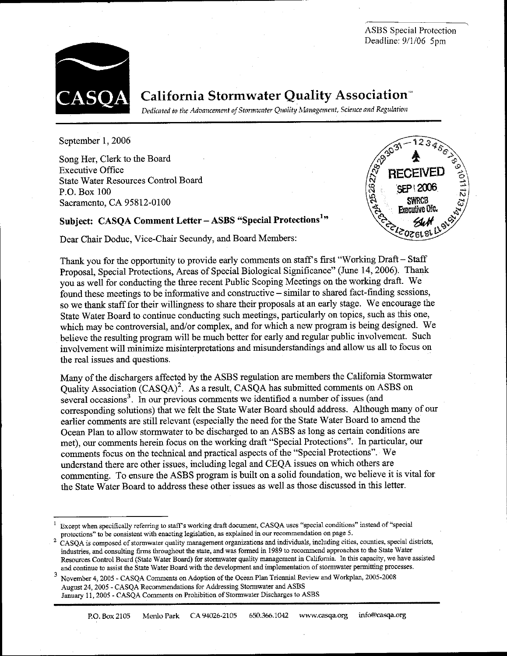**ASBS** Special Protection Deadline: 9/1/06 5pm



# **California Stormwater Quality Association**

Dedicated to the Advancement of Stormwater Quality Management, Science and Regulation

September 1, 2006

Song Her, Clerk to the Board **Executive Office State Water Resources Control Board** P.O. Box 100 Sacramento, CA 95812-0100



## Subject: CASQA Comment Letter - ASBS "Special Protections<sup>1</sup>"

Dear Chair Doduc, Vice-Chair Secundy, and Board Members:

Thank you for the opportunity to provide early comments on staff's first "Working Draft - Staff Proposal, Special Protections, Areas of Special Biological Significance" (June 14, 2006). Thank you as well for conducting the three recent Public Scoping Meetings on the working draft. We found these meetings to be informative and constructive – similar to shared fact-finding sessions, so we thank staff for their willingness to share their proposals at an early stage. We encourage the State Water Board to continue conducting such meetings, particularly on topics, such as this one, which may be controversial, and/or complex, and for which a new program is being designed. We believe the resulting program will be much better for early and regular public involvement. Such involvement will minimize misinterpretations and misunderstandings and allow us all to focus on the real issues and questions.

Many of the dischargers affected by the ASBS regulation are members the California Stormwater Quality Association (CASQA)<sup>2</sup>. As a result, CASQA has submitted comments on ASBS on several occasions<sup>3</sup>. In our previous comments we identified a number of issues (and corresponding solutions) that we felt the State Water Board should address. Although many of our earlier comments are still relevant (especially the need for the State Water Board to amend the Ocean Plan to allow stormwater to be discharged to an ASBS as long as certain conditions are met), our comments herein focus on the working draft "Special Protections". In particular, our comments focus on the technical and practical aspects of the "Special Protections". We understand there are other issues, including legal and CEQA issues on which others are commenting. To ensure the ASBS program is built on a solid foundation, we believe it is vital for the State Water Board to address these other issues as well as those discussed in this letter.

Except when specifically referring to staff's working draft document, CASQA uses "special conditions" instead of "special protections" to be consistent with enacting legislation, as explained in our recommendation on page 5.

CASQA is composed of stormwater quality management organizations and individuals, including cities, counties, special districts, industries, and consulting firms throughout the state, and was formed in 1989 to recommend approaches to the State Water Resources Control Board (State Water Board) for stormwater quality management in California. In this capacity, we have assisted and continue to assist the State Water Board with the development and implementation of stormwater permitting processes.

November 4, 2005 - CASQA Comments on Adoption of the Ocean Plan Triennial Review and Workplan, 2005-2008 August 24, 2005 - CASQA Recommendations for Addressing Stormwater and ASBS January 11, 2005 - CASQA Comments on Prohibition of Stormwater Discharges to ASBS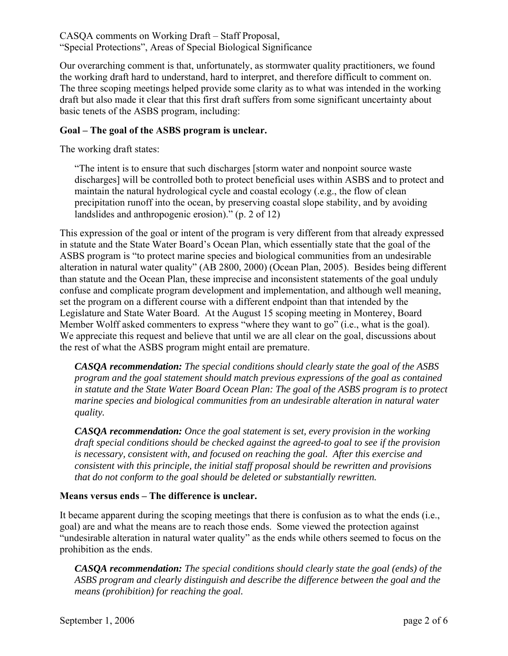Our overarching comment is that, unfortunately, as stormwater quality practitioners, we found the working draft hard to understand, hard to interpret, and therefore difficult to comment on. The three scoping meetings helped provide some clarity as to what was intended in the working draft but also made it clear that this first draft suffers from some significant uncertainty about basic tenets of the ASBS program, including:

#### **Goal – The goal of the ASBS program is unclear.**

The working draft states:

"The intent is to ensure that such discharges [storm water and nonpoint source waste discharges] will be controlled both to protect beneficial uses within ASBS and to protect and maintain the natural hydrological cycle and coastal ecology (.e.g., the flow of clean precipitation runoff into the ocean, by preserving coastal slope stability, and by avoiding landslides and anthropogenic erosion)." (p. 2 of 12)

This expression of the goal or intent of the program is very different from that already expressed in statute and the State Water Board's Ocean Plan, which essentially state that the goal of the ASBS program is "to protect marine species and biological communities from an undesirable alteration in natural water quality" (AB 2800, 2000) (Ocean Plan, 2005). Besides being different than statute and the Ocean Plan, these imprecise and inconsistent statements of the goal unduly confuse and complicate program development and implementation, and although well meaning, set the program on a different course with a different endpoint than that intended by the Legislature and State Water Board. At the August 15 scoping meeting in Monterey, Board Member Wolff asked commenters to express "where they want to go" (i.e., what is the goal). We appreciate this request and believe that until we are all clear on the goal, discussions about the rest of what the ASBS program might entail are premature.

*CASQA recommendation: The special conditions should clearly state the goal of the ASBS program and the goal statement should match previous expressions of the goal as contained in statute and the State Water Board Ocean Plan: The goal of the ASBS program is to protect marine species and biological communities from an undesirable alteration in natural water quality.* 

*CASQA recommendation: Once the goal statement is set, every provision in the working draft special conditions should be checked against the agreed-to goal to see if the provision is necessary, consistent with, and focused on reaching the goal. After this exercise and consistent with this principle, the initial staff proposal should be rewritten and provisions that do not conform to the goal should be deleted or substantially rewritten.* 

#### **Means versus ends – The difference is unclear.**

It became apparent during the scoping meetings that there is confusion as to what the ends (i.e., goal) are and what the means are to reach those ends. Some viewed the protection against "undesirable alteration in natural water quality" as the ends while others seemed to focus on the prohibition as the ends.

*CASQA recommendation: The special conditions should clearly state the goal (ends) of the ASBS program and clearly distinguish and describe the difference between the goal and the means (prohibition) for reaching the goal.*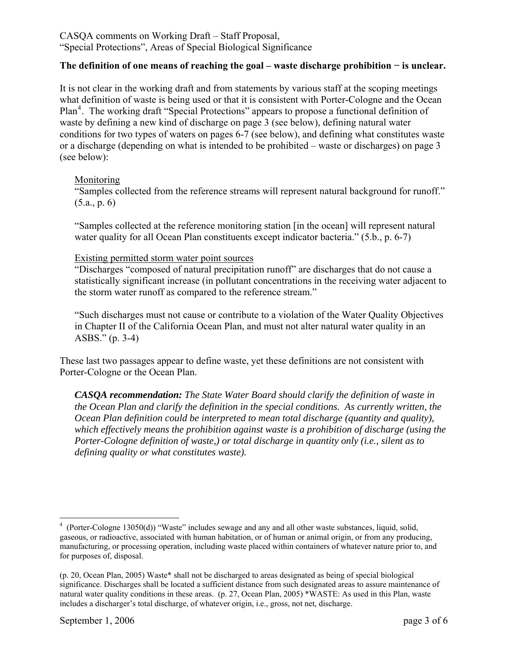#### **The definition of one means of reaching the goal – waste discharge prohibition − is unclear.**

It is not clear in the working draft and from statements by various staff at the scoping meetings what definition of waste is being used or that it is consistent with Porter-Cologne and the Ocean Plan<sup>[4](#page-2-0)</sup>. The working draft "Special Protections" appears to propose a functional definition of waste by defining a new kind of discharge on page 3 (see below), defining natural water conditions for two types of waters on pages 6-7 (see below), and defining what constitutes waste or a discharge (depending on what is intended to be prohibited – waste or discharges) on page 3 (see below):

#### Monitoring

"Samples collected from the reference streams will represent natural background for runoff."  $(5.a., p. 6)$ 

"Samples collected at the reference monitoring station [in the ocean] will represent natural water quality for all Ocean Plan constituents except indicator bacteria." (5.b., p. 6-7)

#### Existing permitted storm water point sources

"Discharges "composed of natural precipitation runoff" are discharges that do not cause a statistically significant increase (in pollutant concentrations in the receiving water adjacent to the storm water runoff as compared to the reference stream."

"Such discharges must not cause or contribute to a violation of the Water Quality Objectives in Chapter II of the California Ocean Plan, and must not alter natural water quality in an ASBS." (p. 3-4)

These last two passages appear to define waste, yet these definitions are not consistent with Porter-Cologne or the Ocean Plan.

*CASQA recommendation: The State Water Board should clarify the definition of waste in the Ocean Plan and clarify the definition in the special conditions. As currently written, the Ocean Plan definition could be interpreted to mean total discharge (quantity and quality), which effectively means the prohibition against waste is a prohibition of discharge (using the Porter-Cologne definition of waste,) or total discharge in quantity only (i.e., silent as to defining quality or what constitutes waste).* 

<span id="page-2-0"></span> $\overline{a}$ <sup>4</sup> (Porter-Cologne 13050(d)) "Waste" includes sewage and any and all other waste substances, liquid, solid, gaseous, or radioactive, associated with human habitation, or of human or animal origin, or from any producing, manufacturing, or processing operation, including waste placed within containers of whatever nature prior to, and for purposes of, disposal.

<sup>(</sup>p. 20, Ocean Plan, 2005) Waste\* shall not be discharged to areas designated as being of special biological significance. Discharges shall be located a sufficient distance from such designated areas to assure maintenance of natural water quality conditions in these areas. (p. 27, Ocean Plan, 2005) \*WASTE: As used in this Plan, waste includes a discharger's total discharge, of whatever origin, i.e., gross, not net, discharge.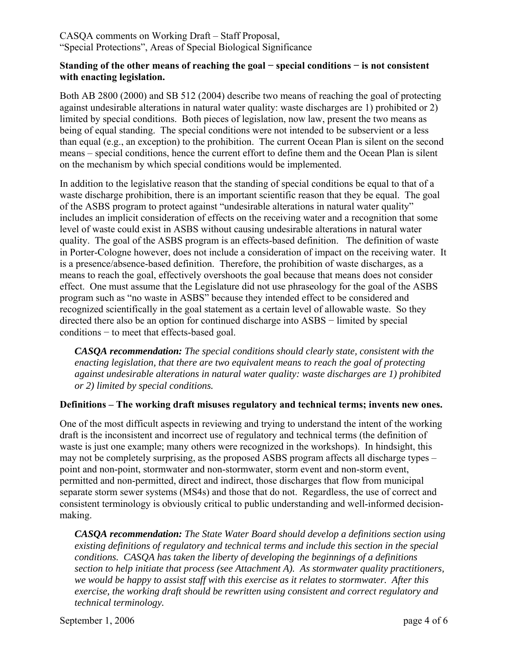#### **Standing of the other means of reaching the goal − special conditions − is not consistent with enacting legislation.**

Both AB 2800 (2000) and SB 512 (2004) describe two means of reaching the goal of protecting against undesirable alterations in natural water quality: waste discharges are 1) prohibited or 2) limited by special conditions. Both pieces of legislation, now law, present the two means as being of equal standing. The special conditions were not intended to be subservient or a less than equal (e.g., an exception) to the prohibition. The current Ocean Plan is silent on the second means – special conditions, hence the current effort to define them and the Ocean Plan is silent on the mechanism by which special conditions would be implemented.

In addition to the legislative reason that the standing of special conditions be equal to that of a waste discharge prohibition, there is an important scientific reason that they be equal. The goal of the ASBS program to protect against "undesirable alterations in natural water quality" includes an implicit consideration of effects on the receiving water and a recognition that some level of waste could exist in ASBS without causing undesirable alterations in natural water quality. The goal of the ASBS program is an effects-based definition. The definition of waste in Porter-Cologne however, does not include a consideration of impact on the receiving water. It is a presence/absence-based definition. Therefore, the prohibition of waste discharges, as a means to reach the goal, effectively overshoots the goal because that means does not consider effect. One must assume that the Legislature did not use phraseology for the goal of the ASBS program such as "no waste in ASBS" because they intended effect to be considered and recognized scientifically in the goal statement as a certain level of allowable waste. So they directed there also be an option for continued discharge into ASBS − limited by special conditions − to meet that effects-based goal.

*CASQA recommendation: The special conditions should clearly state, consistent with the enacting legislation, that there are two equivalent means to reach the goal of protecting against undesirable alterations in natural water quality: waste discharges are 1) prohibited or 2) limited by special conditions.* 

#### **Definitions – The working draft misuses regulatory and technical terms; invents new ones.**

One of the most difficult aspects in reviewing and trying to understand the intent of the working draft is the inconsistent and incorrect use of regulatory and technical terms (the definition of waste is just one example; many others were recognized in the workshops). In hindsight, this may not be completely surprising, as the proposed ASBS program affects all discharge types – point and non-point, stormwater and non-stormwater, storm event and non-storm event, permitted and non-permitted, direct and indirect, those discharges that flow from municipal separate storm sewer systems (MS4s) and those that do not. Regardless, the use of correct and consistent terminology is obviously critical to public understanding and well-informed decisionmaking.

*CASQA recommendation: The State Water Board should develop a definitions section using existing definitions of regulatory and technical terms and include this section in the special conditions. CASQA has taken the liberty of developing the beginnings of a definitions section to help initiate that process (see Attachment A). As stormwater quality practitioners, we would be happy to assist staff with this exercise as it relates to stormwater. After this exercise, the working draft should be rewritten using consistent and correct regulatory and technical terminology.* 

September 1, 2006 page 4 of 6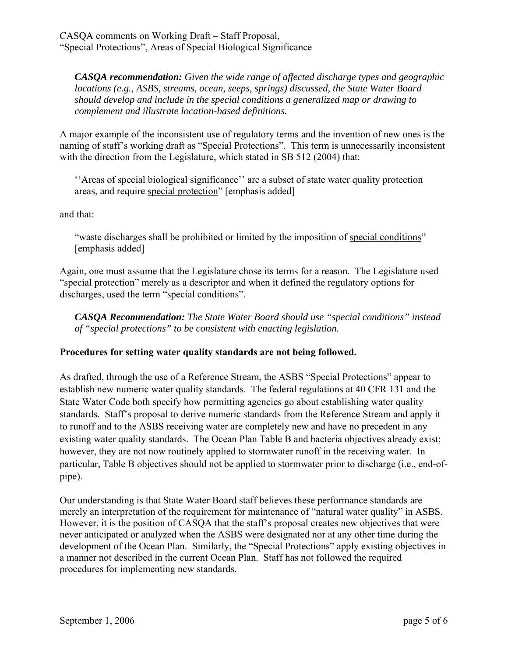*CASQA recommendation: Given the wide range of affected discharge types and geographic locations (e.g., ASBS, streams, ocean, seeps, springs) discussed, the State Water Board should develop and include in the special conditions a generalized map or drawing to complement and illustrate location-based definitions.* 

A major example of the inconsistent use of regulatory terms and the invention of new ones is the naming of staff's working draft as "Special Protections". This term is unnecessarily inconsistent with the direction from the Legislature, which stated in SB 512 (2004) that:

''Areas of special biological significance'' are a subset of state water quality protection areas, and require special protection" [emphasis added]

and that:

"waste discharges shall be prohibited or limited by the imposition of special conditions" [emphasis added]

Again, one must assume that the Legislature chose its terms for a reason. The Legislature used "special protection" merely as a descriptor and when it defined the regulatory options for discharges, used the term "special conditions".

*CASQA Recommendation: The State Water Board should use "special conditions" instead of "special protections" to be consistent with enacting legislation.* 

### **Procedures for setting water quality standards are not being followed.**

As drafted, through the use of a Reference Stream, the ASBS "Special Protections" appear to establish new numeric water quality standards. The federal regulations at 40 CFR 131 and the State Water Code both specify how permitting agencies go about establishing water quality standards. Staff's proposal to derive numeric standards from the Reference Stream and apply it to runoff and to the ASBS receiving water are completely new and have no precedent in any existing water quality standards. The Ocean Plan Table B and bacteria objectives already exist; however, they are not now routinely applied to stormwater runoff in the receiving water. In particular, Table B objectives should not be applied to stormwater prior to discharge (i.e., end-ofpipe).

Our understanding is that State Water Board staff believes these performance standards are merely an interpretation of the requirement for maintenance of "natural water quality" in ASBS. However, it is the position of CASQA that the staff's proposal creates new objectives that were never anticipated or analyzed when the ASBS were designated nor at any other time during the development of the Ocean Plan. Similarly, the "Special Protections" apply existing objectives in a manner not described in the current Ocean Plan. Staff has not followed the required procedures for implementing new standards.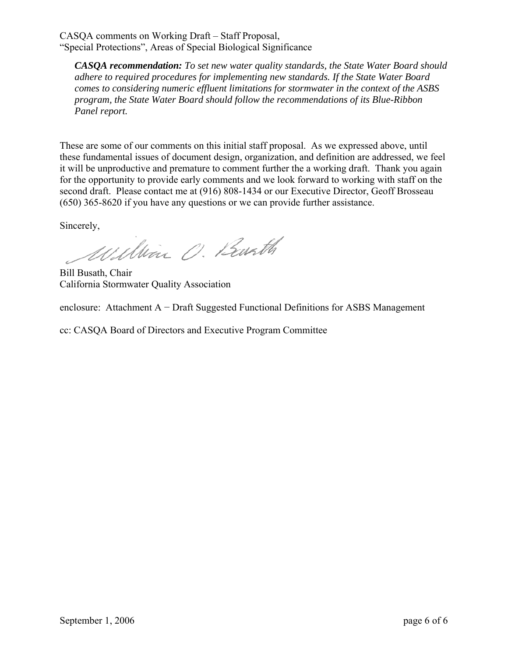*CASQA recommendation: To set new water quality standards, the State Water Board should adhere to required procedures for implementing new standards. If the State Water Board comes to considering numeric effluent limitations for stormwater in the context of the ASBS program, the State Water Board should follow the recommendations of its Blue-Ribbon Panel report.* 

These are some of our comments on this initial staff proposal. As we expressed above, until these fundamental issues of document design, organization, and definition are addressed, we feel it will be unproductive and premature to comment further the a working draft. Thank you again for the opportunity to provide early comments and we look forward to working with staff on the second draft. Please contact me at (916) 808-1434 or our Executive Director, Geoff Brosseau (650) 365-8620 if you have any questions or we can provide further assistance.

Sincerely,

William O. Barth

Bill Busath, Chair California Stormwater Quality Association

enclosure: Attachment A − Draft Suggested Functional Definitions for ASBS Management

cc: CASQA Board of Directors and Executive Program Committee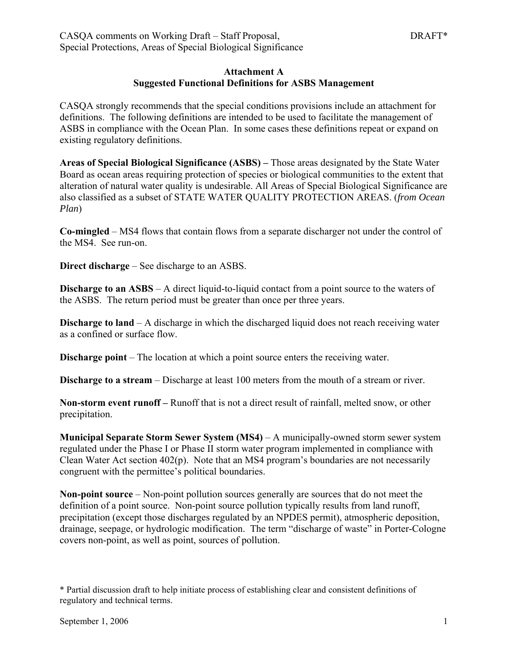#### **Attachment A Suggested Functional Definitions for ASBS Management**

CASQA strongly recommends that the special conditions provisions include an attachment for definitions. The following definitions are intended to be used to facilitate the management of ASBS in compliance with the Ocean Plan. In some cases these definitions repeat or expand on existing regulatory definitions.

**Areas of Special Biological Significance (ASBS) –** Those areas designated by the State Water Board as ocean areas requiring protection of species or biological communities to the extent that alteration of natural water quality is undesirable. All Areas of Special Biological Significance are also classified as a subset of STATE WATER QUALITY PROTECTION AREAS. (*from Ocean Plan*)

**Co-mingled** – MS4 flows that contain flows from a separate discharger not under the control of the MS4. See run-on.

**Direct discharge** – See discharge to an ASBS.

**Discharge to an ASBS** – A direct liquid-to-liquid contact from a point source to the waters of the ASBS. The return period must be greater than once per three years.

**Discharge to land** – A discharge in which the discharged liquid does not reach receiving water as a confined or surface flow.

**Discharge point** – The location at which a point source enters the receiving water.

**Discharge to a stream** – Discharge at least 100 meters from the mouth of a stream or river.

**Non-storm event runoff –** Runoff that is not a direct result of rainfall, melted snow, or other precipitation.

**Municipal Separate Storm Sewer System (MS4)** – A municipally-owned storm sewer system regulated under the Phase I or Phase II storm water program implemented in compliance with Clean Water Act section 402(p). Note that an MS4 program's boundaries are not necessarily congruent with the permittee's political boundaries.

**Non-point source** – Non-point pollution sources generally are sources that do not meet the definition of a point source. Non-point source pollution typically results from land runoff, precipitation (except those discharges regulated by an NPDES permit), atmospheric deposition, drainage, seepage, or hydrologic modification. The term "discharge of waste" in Porter-Cologne covers non-point, as well as point, sources of pollution.

<sup>\*</sup> Partial discussion draft to help initiate process of establishing clear and consistent definitions of regulatory and technical terms.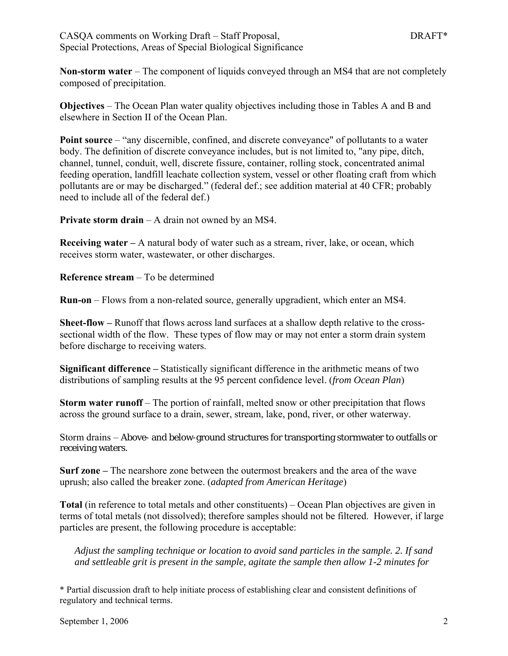**Non-storm water** – The component of liquids conveyed through an MS4 that are not completely composed of precipitation.

**Objectives** – The Ocean Plan water quality objectives including those in Tables A and B and elsewhere in Section II of the Ocean Plan.

**Point source** – "any discernible, confined, and discrete conveyance" of pollutants to a water body. The definition of discrete conveyance includes, but is not limited to, "any pipe, ditch, channel, tunnel, conduit, well, discrete fissure, container, rolling stock, concentrated animal feeding operation, landfill leachate collection system, vessel or other floating craft from which pollutants are or may be discharged." (federal def.; see addition material at 40 CFR; probably need to include all of the federal def.)

**Private storm drain** – A drain not owned by an MS4.

**Receiving water –** A natural body of water such as a stream, river, lake, or ocean, which receives storm water, wastewater, or other discharges.

**Reference stream** – To be determined

**Run-on** – Flows from a non-related source, generally upgradient, which enter an MS4.

**Sheet-flow –** Runoff that flows across land surfaces at a shallow depth relative to the crosssectional width of the flow. These types of flow may or may not enter a storm drain system before discharge to receiving waters.

**Significant difference –** Statistically significant difference in the arithmetic means of two distributions of sampling results at the 95 percent confidence level. (*from Ocean Plan*)

**Storm water runoff** – The portion of rainfall, melted snow or other precipitation that flows across the ground surface to a drain, sewer, stream, lake, pond, river, or other waterway.

Storm drains – Above- and below-ground structures for transporting stormwater to outfalls or receiving waters.

**Surf zone –** The nearshore zone between the outermost breakers and the area of the wave uprush; also called the breaker zone. (*adapted from American Heritage*)

**Total** (in reference to total metals and other constituents) – Ocean Plan objectives are given in terms of total metals (not dissolved); therefore samples should not be filtered. However, if large particles are present, the following procedure is acceptable:

*Adjust the sampling technique or location to avoid sand particles in the sample. 2. If sand and settleable grit is present in the sample, agitate the sample then allow 1-2 minutes for* 

\* Partial discussion draft to help initiate process of establishing clear and consistent definitions of regulatory and technical terms.